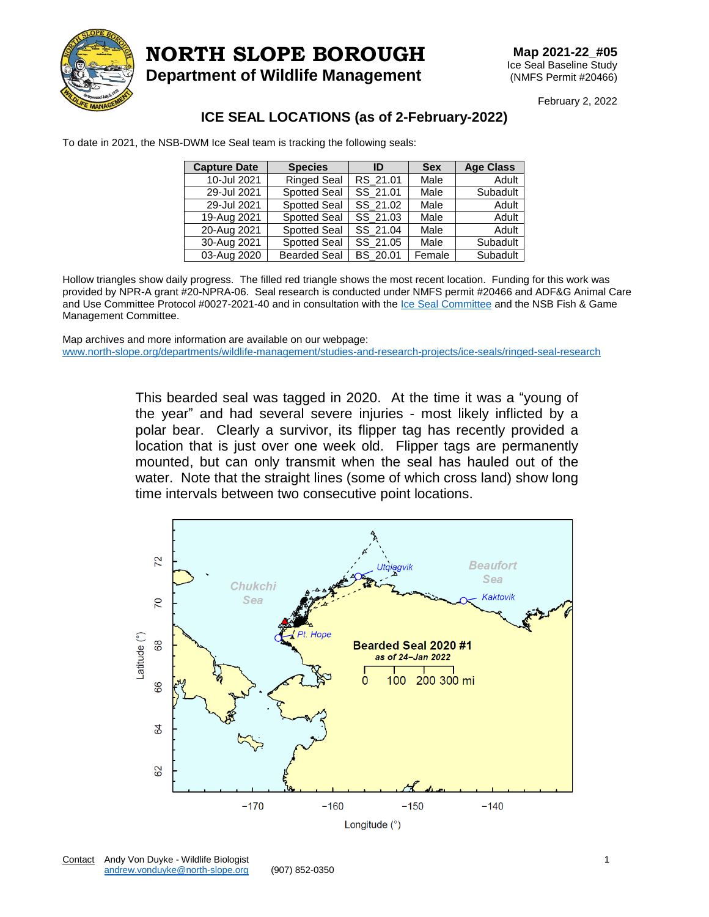

## **NORTH SLOPE BOROUGH**

**Department of Wildlife Management**

February 2, 2022

## **ICE SEAL LOCATIONS (as of 2-February-2022)**

To date in 2021, the NSB-DWM Ice Seal team is tracking the following seals:

| <b>Capture Date</b> | <b>Species</b>      | ID       | <b>Sex</b> | <b>Age Class</b> |
|---------------------|---------------------|----------|------------|------------------|
| 10-Jul 2021         | <b>Ringed Seal</b>  | RS 21.01 | Male       | Adult            |
| 29-Jul 2021         | <b>Spotted Seal</b> | SS 21.01 | Male       | Subadult         |
| 29-Jul 2021         | <b>Spotted Seal</b> | SS 21.02 | Male       | Adult            |
| 19-Aug 2021         | <b>Spotted Seal</b> | SS 21.03 | Male       | Adult            |
| 20-Aug 2021         | <b>Spotted Seal</b> | SS 21.04 | Male       | Adult            |
| 30-Aug 2021         | <b>Spotted Seal</b> | SS 21.05 | Male       | Subadult         |
| 03-Aug 2020         | <b>Bearded Seal</b> | BS 20.01 | Female     | Subadult         |

Hollow triangles show daily progress. The filled red triangle shows the most recent location. Funding for this work was provided by NPR-A grant #20-NPRA-06. Seal research is conducted under NMFS permit #20466 and ADF&G Animal Care and Use Committee Protocol #0027-2021-40 and in consultation with the [Ice Seal Committee](https://www.iceseals.org/) and the NSB Fish & Game Management Committee.

Map archives and more information are available on our webpage: [www.north-slope.org/departments/wildlife-management/studies-and-research-projects/ice-seals/ringed-seal-research](http://www.north-slope.org/departments/wildlife-management/studies-and-research-projects/ice-seals/ringed-seal-research)

> This bearded seal was tagged in 2020. At the time it was a "young of the year" and had several severe injuries - most likely inflicted by a polar bear. Clearly a survivor, its flipper tag has recently provided a location that is just over one week old. Flipper tags are permanently mounted, but can only transmit when the seal has hauled out of the water. Note that the straight lines (some of which cross land) show long time intervals between two consecutive point locations.

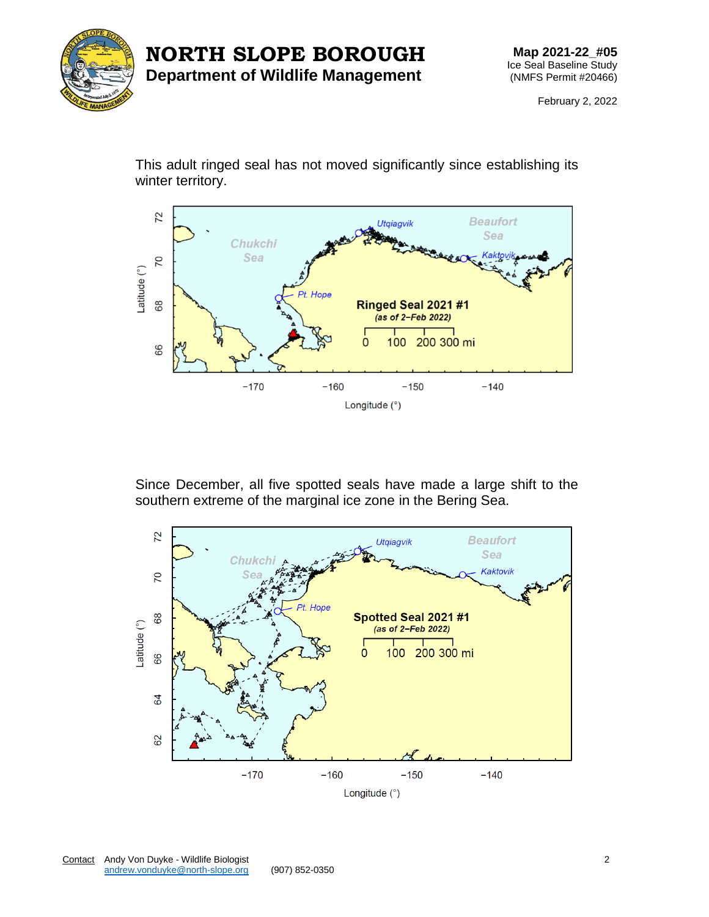

## **NORTH SLOPE BOROUGH Department of Wildlife Management**

**Map 2021-22\_#05** Ice Seal Baseline Study (NMFS Permit #20466)

February 2, 2022

This adult ringed seal has not moved significantly since establishing its winter territory.



Since December, all five spotted seals have made a large shift to the southern extreme of the marginal ice zone in the Bering Sea.

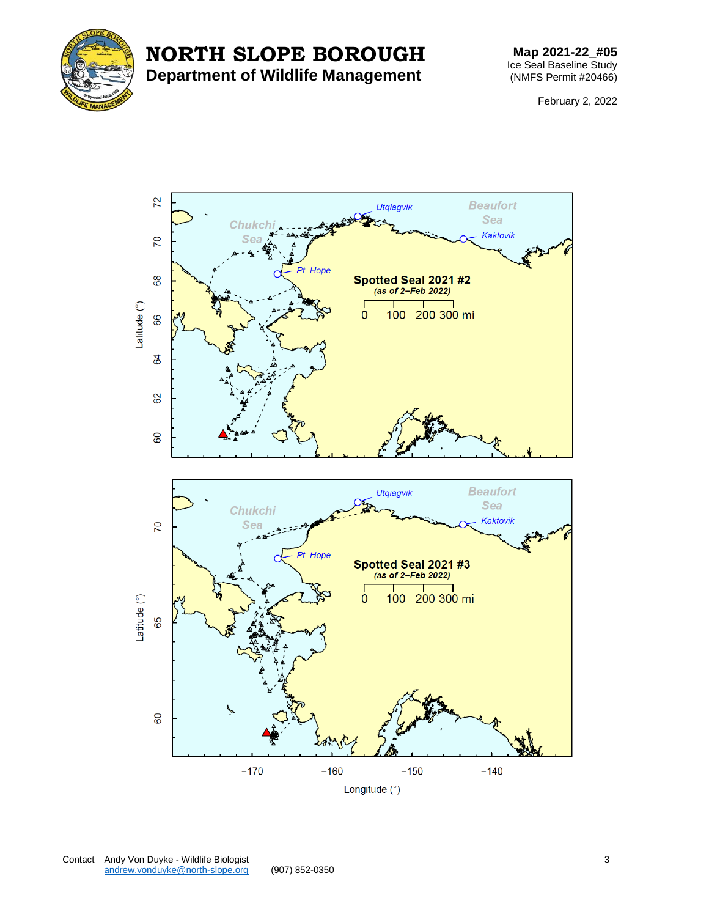



## **Map 2021-22\_#05** Ice Seal Baseline Study (NMFS Permit #20466)

February 2, 2022